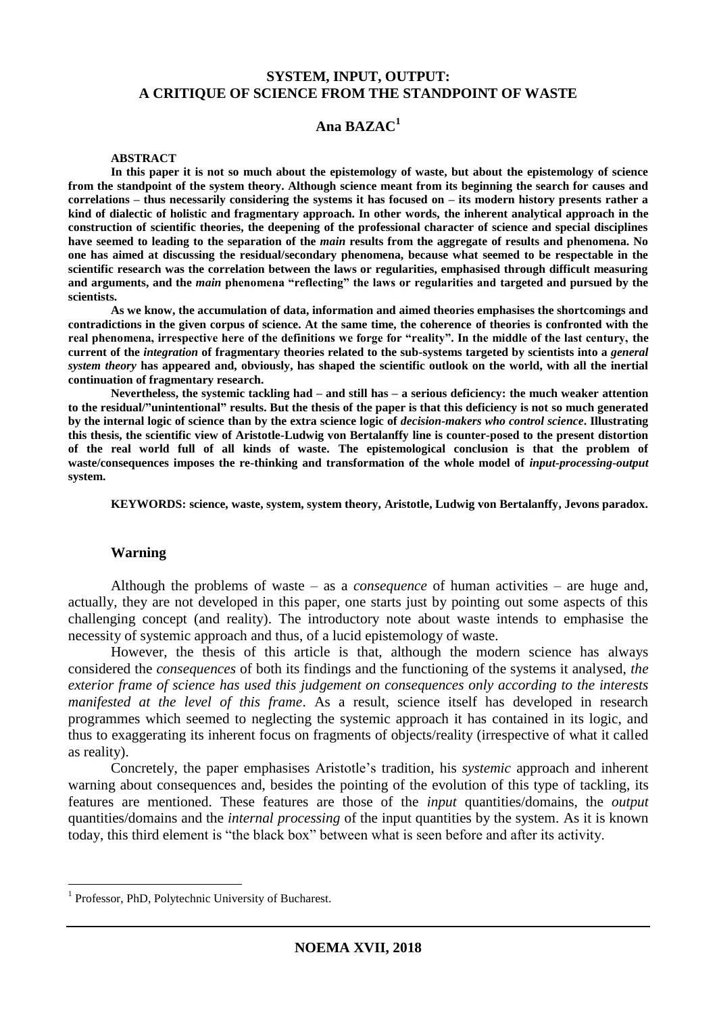## **SYSTEM, INPUT, OUTPUT: A CRITIQUE OF SCIENCE FROM THE STANDPOINT OF WASTE**

## **Ana BAZAC<sup>1</sup>**

#### **ABSTRACT**

**In this paper it is not so much about the epistemology of waste, but about the epistemology of science from the standpoint of the system theory. Although science meant from its beginning the search for causes and correlations – thus necessarily considering the systems it has focused on – its modern history presents rather a kind of dialectic of holistic and fragmentary approach. In other words, the inherent analytical approach in the construction of scientific theories, the deepening of the professional character of science and special disciplines have seemed to leading to the separation of the** *main* **results from the aggregate of results and phenomena. No one has aimed at discussing the residual/secondary phenomena, because what seemed to be respectable in the scientific research was the correlation between the laws or regularities, emphasised through difficult measuring and arguments, and the** *main* **phenomena "reflecting" the laws or regularities and targeted and pursued by the scientists.** 

**As we know, the accumulation of data, information and aimed theories emphasises the shortcomings and contradictions in the given corpus of science. At the same time, the coherence of theories is confronted with the real phenomena, irrespective here of the definitions we forge for "reality". In the middle of the last century, the current of the** *integration* **of fragmentary theories related to the sub-systems targeted by scientists into a** *general system theory* **has appeared and, obviously, has shaped the scientific outlook on the world, with all the inertial continuation of fragmentary research.**

**Nevertheless, the systemic tackling had – and still has – a serious deficiency: the much weaker attention to the residual/"unintentional" results. But the thesis of the paper is that this deficiency is not so much generated by the internal logic of science than by the extra science logic of** *decision-makers who control science***. Illustrating this thesis, the scientific view of Aristotle-Ludwig von Bertalanffy line is counter-posed to the present distortion of the real world full of all kinds of waste. The epistemological conclusion is that the problem of waste/consequences imposes the re-thinking and transformation of the whole model of** *input-processing-output*  **system.** 

**KEYWORDS: science, waste, system, system theory, Aristotle, Ludwig von Bertalanffy, Jevons paradox.**

### **Warning**

Although the problems of waste – as a *consequence* of human activities – are huge and, actually, they are not developed in this paper, one starts just by pointing out some aspects of this challenging concept (and reality). The introductory note about waste intends to emphasise the necessity of systemic approach and thus, of a lucid epistemology of waste.

However, the thesis of this article is that, although the modern science has always considered the *consequences* of both its findings and the functioning of the systems it analysed, *the exterior frame of science has used this judgement on consequences only according to the interests manifested at the level of this frame*. As a result, science itself has developed in research programmes which seemed to neglecting the systemic approach it has contained in its logic, and thus to exaggerating its inherent focus on fragments of objects/reality (irrespective of what it called as reality).

Concretely, the paper emphasises Aristotle's tradition, his *systemic* approach and inherent warning about consequences and, besides the pointing of the evolution of this type of tackling, its features are mentioned. These features are those of the *input* quantities/domains, the *output*  quantities/domains and the *internal processing* of the input quantities by the system. As it is known today, this third element is "the black box" between what is seen before and after its activity.

<sup>&</sup>lt;sup>1</sup> Professor, PhD, Polytechnic University of Bucharest.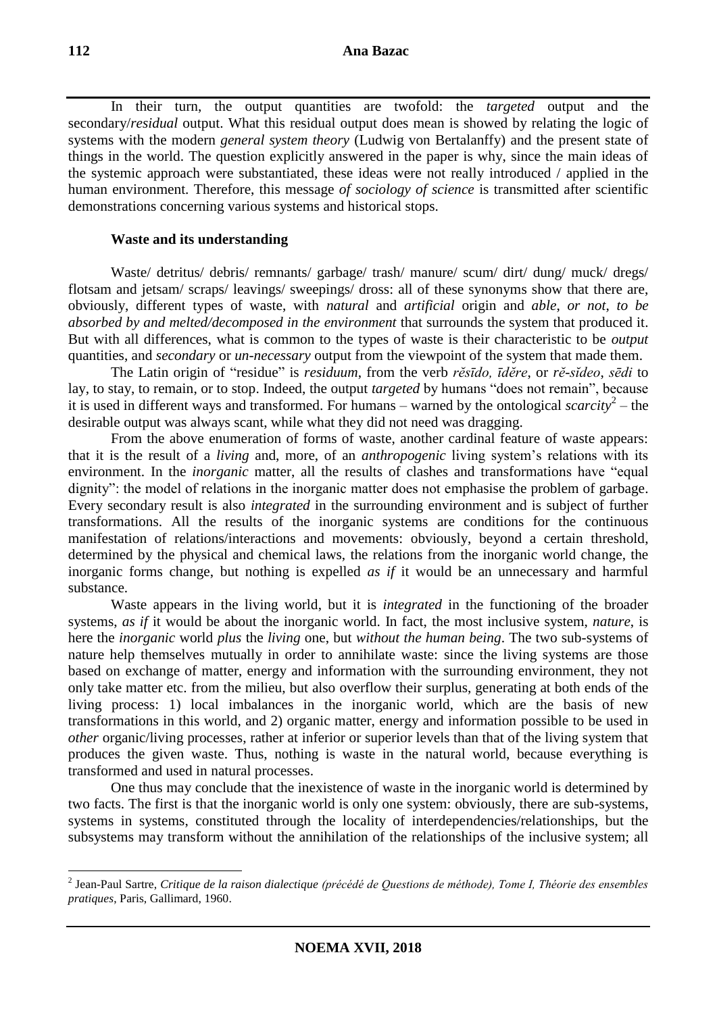In their turn, the output quantities are twofold: the *targeted* output and the secondary/*residual* output. What this residual output does mean is showed by relating the logic of systems with the modern *general system theory* (Ludwig von Bertalanffy) and the present state of things in the world. The question explicitly answered in the paper is why, since the main ideas of the systemic approach were substantiated, these ideas were not really introduced / applied in the human environment. Therefore, this message *of sociology of science* is transmitted after scientific demonstrations concerning various systems and historical stops.

## **Waste and its understanding**

Waste/ detritus/ debris/ remnants/ garbage/ trash/ manure/ scum/ dirt/ dung/ muck/ dregs/ flotsam and jetsam/ scraps/ leavings/ sweepings/ dross: all of these synonyms show that there are, obviously, different types of waste, with *natural* and *artificial* origin and *able*, *or not*, *to be absorbed by and melted/decomposed in the environment* that surrounds the system that produced it. But with all differences, what is common to the types of waste is their characteristic to be *output* quantities, and *secondary* or *un-necessary* output from the viewpoint of the system that made them.

The Latin origin of "residue" is *residuum*, from the verb *rĕsīdo, īdĕre*, or *rĕ-sĭdeo*, *sēdi* to lay, to stay, to remain, or to stop. Indeed, the output *targeted* by humans "does not remain", because it is used in different ways and transformed. For humans – warned by the ontological *scarcity*<sup>2</sup> – the desirable output was always scant, while what they did not need was dragging.

From the above enumeration of forms of waste, another cardinal feature of waste appears: that it is the result of a *living* and, more, of an *anthropogenic* living system's relations with its environment. In the *inorganic* matter, all the results of clashes and transformations have "equal dignity": the model of relations in the inorganic matter does not emphasise the problem of garbage. Every secondary result is also *integrated* in the surrounding environment and is subject of further transformations. All the results of the inorganic systems are conditions for the continuous manifestation of relations/interactions and movements: obviously, beyond a certain threshold, determined by the physical and chemical laws, the relations from the inorganic world change, the inorganic forms change, but nothing is expelled *as if* it would be an unnecessary and harmful substance.

Waste appears in the living world, but it is *integrated* in the functioning of the broader systems, *as if* it would be about the inorganic world. In fact, the most inclusive system, *nature*, is here the *inorganic* world *plus* the *living* one, but *without the human being*. The two sub-systems of nature help themselves mutually in order to annihilate waste: since the living systems are those based on exchange of matter, energy and information with the surrounding environment, they not only take matter etc. from the milieu, but also overflow their surplus, generating at both ends of the living process: 1) local imbalances in the inorganic world, which are the basis of new transformations in this world, and 2) organic matter, energy and information possible to be used in *other* organic/living processes, rather at inferior or superior levels than that of the living system that produces the given waste. Thus, nothing is waste in the natural world, because everything is transformed and used in natural processes.

One thus may conclude that the inexistence of waste in the inorganic world is determined by two facts. The first is that the inorganic world is only one system: obviously, there are sub-systems, systems in systems, constituted through the locality of interdependencies/relationships, but the subsystems may transform without the annihilation of the relationships of the inclusive system; all

<sup>2</sup> Jean-Paul Sartre, *Critique de la raison dialectique (précédé de Questions de méthode), Tome I, Théorie des ensembles pratiques*, Paris, Gallimard, 1960.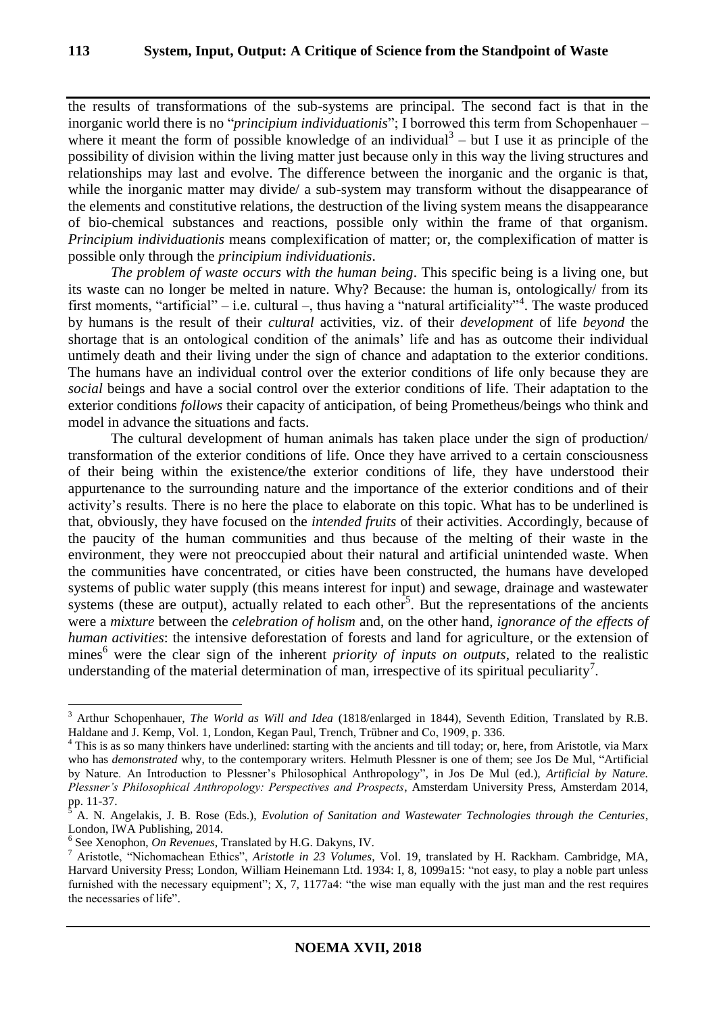the results of transformations of the sub-systems are principal. The second fact is that in the inorganic world there is no "*principium individuationis*"; I borrowed this term from Schopenhauer – where it meant the form of possible knowledge of an individual<sup>3</sup> – but I use it as principle of the possibility of division within the living matter just because only in this way the living structures and relationships may last and evolve. The difference between the inorganic and the organic is that, while the inorganic matter may divide/ a sub-system may transform without the disappearance of the elements and constitutive relations, the destruction of the living system means the disappearance of bio-chemical substances and reactions, possible only within the frame of that organism. *Principium individuationis* means complexification of matter; or, the complexification of matter is possible only through the *principium individuationis*.

*The problem of waste occurs with the human being*. This specific being is a living one, but its waste can no longer be melted in nature. Why? Because: the human is, ontologically/ from its first moments, "artificial" – i.e. cultural –, thus having a "natural artificiality"<sup>4</sup>. The waste produced by humans is the result of their *cultural* activities, viz. of their *development* of life *beyond* the shortage that is an ontological condition of the animals' life and has as outcome their individual untimely death and their living under the sign of chance and adaptation to the exterior conditions. The humans have an individual control over the exterior conditions of life only because they are *social* beings and have a social control over the exterior conditions of life. Their adaptation to the exterior conditions *follows* their capacity of anticipation, of being Prometheus/beings who think and model in advance the situations and facts.

The cultural development of human animals has taken place under the sign of production/ transformation of the exterior conditions of life. Once they have arrived to a certain consciousness of their being within the existence/the exterior conditions of life, they have understood their appurtenance to the surrounding nature and the importance of the exterior conditions and of their activity's results. There is no here the place to elaborate on this topic. What has to be underlined is that, obviously, they have focused on the *intended fruits* of their activities. Accordingly, because of the paucity of the human communities and thus because of the melting of their waste in the environment, they were not preoccupied about their natural and artificial unintended waste. When the communities have concentrated, or cities have been constructed, the humans have developed systems of public water supply (this means interest for input) and sewage, drainage and wastewater systems (these are output), actually related to each other<sup>5</sup>. But the representations of the ancients were a *mixture* between the *celebration of holism* and, on the other hand, *ignorance of the effects of human activities*: the intensive deforestation of forests and land for agriculture, or the extension of mines<sup>6</sup> were the clear sign of the inherent *priority of inputs on outputs*, related to the realistic understanding of the material determination of man, irrespective of its spiritual peculiarity<sup>7</sup>.

<sup>3</sup> Arthur Schopenhauer, *The World as Will and Idea* (1818/enlarged in 1844), Seventh Edition, Translated by R.B. Haldane and J. Kemp, Vol. 1, London, Kegan Paul, Trench, Trübner and Co, 1909, p. 336.

<sup>&</sup>lt;sup>4</sup> This is as so many thinkers have underlined: starting with the ancients and till today; or, here, from Aristotle, via Marx who has *demonstrated* why, to the contemporary writers. Helmuth Plessner is one of them; see Jos De Mul, "Artificial by Nature. An Introduction to Plessner's Philosophical Anthropology", in Jos De Mul (ed.), *Artificial by Nature. Plessner's Philosophical Anthropology: Perspectives and Prospects*, Amsterdam University Press, Amsterdam 2014, pp. 11-37.

<sup>5</sup> A. N. Angelakis, J. B. Rose (Eds.), *Evolution of Sanitation and Wastewater Technologies through the Centuries*, London, IWA Publishing, 2014.

<sup>6</sup> See Xenophon, *On Revenues*, Translated by H.G. Dakyns, IV.

<sup>7</sup> Aristotle, "Nichomachean Ethics", *Aristotle in 23 Volumes*, Vol. 19, translated by H. Rackham. Cambridge, MA, Harvard University Press; London, William Heinemann Ltd. 1934: I, 8, 1099a15: "not easy, to play a noble part unless furnished with the necessary equipment";  $X$ ,  $7$ ,  $1177a4$ : "the wise man equally with the just man and the rest requires the necessaries of life".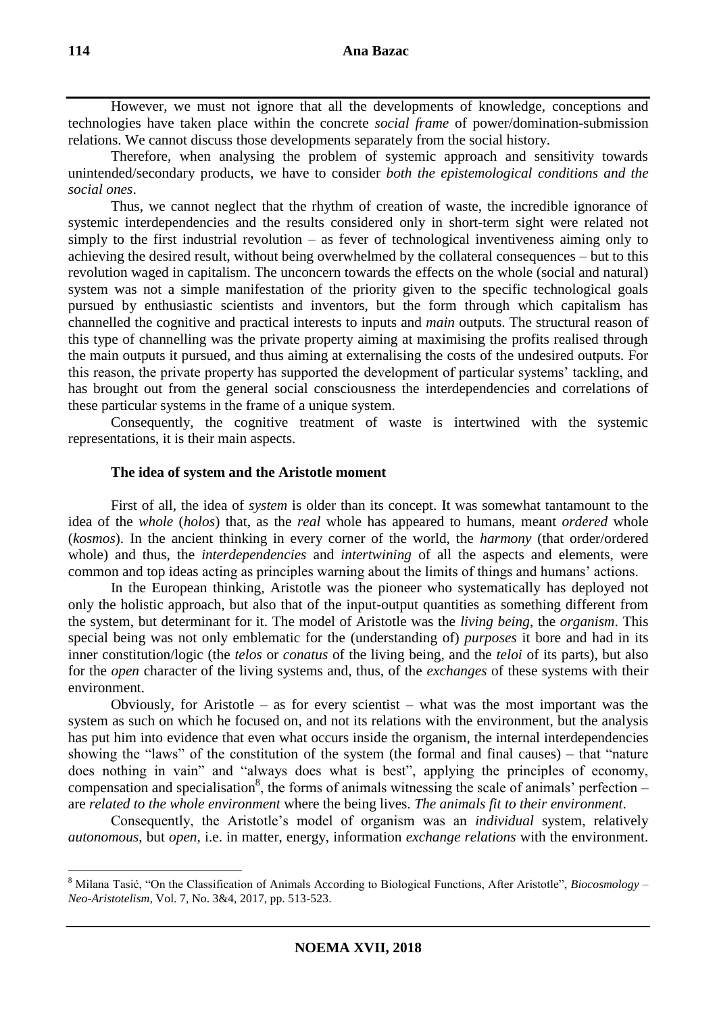However, we must not ignore that all the developments of knowledge, conceptions and technologies have taken place within the concrete *social frame* of power/domination-submission relations. We cannot discuss those developments separately from the social history.

Therefore, when analysing the problem of systemic approach and sensitivity towards unintended/secondary products, we have to consider *both the epistemological conditions and the social ones*.

Thus, we cannot neglect that the rhythm of creation of waste, the incredible ignorance of systemic interdependencies and the results considered only in short-term sight were related not simply to the first industrial revolution – as fever of technological inventiveness aiming only to achieving the desired result, without being overwhelmed by the collateral consequences – but to this revolution waged in capitalism. The unconcern towards the effects on the whole (social and natural) system was not a simple manifestation of the priority given to the specific technological goals pursued by enthusiastic scientists and inventors, but the form through which capitalism has channelled the cognitive and practical interests to inputs and *main* outputs. The structural reason of this type of channelling was the private property aiming at maximising the profits realised through the main outputs it pursued, and thus aiming at externalising the costs of the undesired outputs. For this reason, the private property has supported the development of particular systems' tackling, and has brought out from the general social consciousness the interdependencies and correlations of these particular systems in the frame of a unique system.

Consequently, the cognitive treatment of waste is intertwined with the systemic representations, it is their main aspects.

### **The idea of system and the Aristotle moment**

First of all, the idea of *system* is older than its concept. It was somewhat tantamount to the idea of the *whole* (*holos*) that, as the *real* whole has appeared to humans, meant *ordered* whole (*kosmos*). In the ancient thinking in every corner of the world, the *harmony* (that order/ordered whole) and thus, the *interdependencies* and *intertwining* of all the aspects and elements, were common and top ideas acting as principles warning about the limits of things and humans' actions.

In the European thinking, Aristotle was the pioneer who systematically has deployed not only the holistic approach, but also that of the input-output quantities as something different from the system, but determinant for it. The model of Aristotle was the *living being*, the *organism*. This special being was not only emblematic for the (understanding of) *purposes* it bore and had in its inner constitution/logic (the *telos* or *conatus* of the living being, and the *teloi* of its parts), but also for the *open* character of the living systems and, thus, of the *exchanges* of these systems with their environment.

Obviously, for Aristotle – as for every scientist – what was the most important was the system as such on which he focused on, and not its relations with the environment, but the analysis has put him into evidence that even what occurs inside the organism, the internal interdependencies showing the "laws" of the constitution of the system (the formal and final causes) – that "nature does nothing in vain" and "always does what is best", applying the principles of economy, compensation and specialisation<sup>8</sup>, the forms of animals witnessing the scale of animals' perfection – are *related to the whole environment* where the being lives. *The animals fit to their environment*.

Consequently, the Aristotle's model of organism was an *individual* system, relatively *autonomous*, but *open*, i.e. in matter, energy, information *exchange relations* with the environment.

<sup>8</sup> Milana Tasić, "On the Classification of Animals According to Biological Functions, After Aristotle", *Biocosmology – Neo-Aristotelism*, Vol. 7, No. 3&4, 2017, pp. 513-523.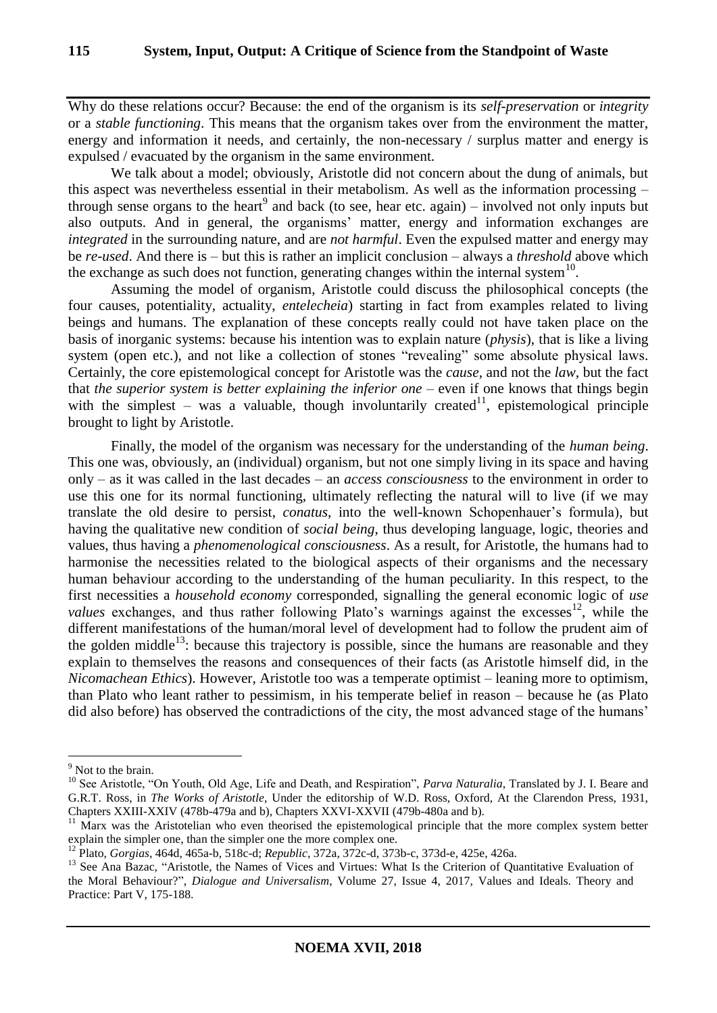Why do these relations occur? Because: the end of the organism is its *self-preservation* or *integrity* or a *stable functioning*. This means that the organism takes over from the environment the matter, energy and information it needs, and certainly, the non-necessary / surplus matter and energy is expulsed / evacuated by the organism in the same environment.

We talk about a model; obviously, Aristotle did not concern about the dung of animals, but this aspect was nevertheless essential in their metabolism. As well as the information processing – through sense organs to the heart<sup>9</sup> and back (to see, hear etc. again) – involved not only inputs but also outputs. And in general, the organisms' matter, energy and information exchanges are *integrated* in the surrounding nature, and are *not harmful*. Even the expulsed matter and energy may be *re-used*. And there is – but this is rather an implicit conclusion – always a *threshold* above which the exchange as such does not function, generating changes within the internal system $10$ .

Assuming the model of organism, Aristotle could discuss the philosophical concepts (the four causes, potentiality, actuality, *entelecheia*) starting in fact from examples related to living beings and humans. The explanation of these concepts really could not have taken place on the basis of inorganic systems: because his intention was to explain nature (*physis*), that is like a living system (open etc.), and not like a collection of stones "revealing" some absolute physical laws. Certainly, the core epistemological concept for Aristotle was the *cause*, and not the *law*, but the fact that *the superior system is better explaining the inferior one* – even if one knows that things begin with the simplest – was a valuable, though involuntarily created<sup>11</sup>, epistemological principle brought to light by Aristotle.

Finally, the model of the organism was necessary for the understanding of the *human being*. This one was, obviously, an (individual) organism, but not one simply living in its space and having only – as it was called in the last decades – an *access consciousness* to the environment in order to use this one for its normal functioning, ultimately reflecting the natural will to live (if we may translate the old desire to persist, *conatus*, into the well-known Schopenhauer's formula), but having the qualitative new condition of *social being*, thus developing language, logic, theories and values, thus having a *phenomenological consciousness*. As a result, for Aristotle, the humans had to harmonise the necessities related to the biological aspects of their organisms and the necessary human behaviour according to the understanding of the human peculiarity. In this respect, to the first necessities a *household economy* corresponded, signalling the general economic logic of *use*  values exchanges, and thus rather following Plato's warnings against the excesses<sup>12</sup>, while the different manifestations of the human/moral level of development had to follow the prudent aim of the golden middle<sup>13</sup>: because this trajectory is possible, since the humans are reasonable and they explain to themselves the reasons and consequences of their facts (as Aristotle himself did, in the *Nicomachean Ethics*). However, Aristotle too was a temperate optimist – leaning more to optimism, than Plato who leant rather to pessimism, in his temperate belief in reason – because he (as Plato did also before) has observed the contradictions of the city, the most advanced stage of the humans'

<sup>&</sup>lt;sup>9</sup> Not to the brain.

<sup>&</sup>lt;sup>10</sup> See Aristotle, "On Youth, Old Age, Life and Death, and Respiration", *Parva Naturalia*, Translated by J. I. Beare and G.R.T. Ross, in *The Works of Aristotle*, Under the editorship of W.D. Ross, Oxford, At the Clarendon Press, 1931, Chapters XXIII-XXIV (478b-479a and b), Chapters XXVI-XXVII (479b-480a and b).

<sup>&</sup>lt;sup>11</sup> Marx was the Aristotelian who even theorised the epistemological principle that the more complex system better explain the simpler one, than the simpler one the more complex one.

<sup>12</sup> Plato, *Gorgias*, 464d, 465a-b, 518c-d; *Republic*, 372a, 372c-d, 373b-c, 373d-e, 425e, 426a.

<sup>&</sup>lt;sup>13</sup> See Ana Bazac, "Aristotle, the Names of Vices and Virtues: What Is the Criterion of Quantitative Evaluation of the Moral Behaviour?", *Dialogue and Universalism*, Volume 27, Issue 4, 2017, Values and Ideals. Theory and Practice: Part V, 175-188.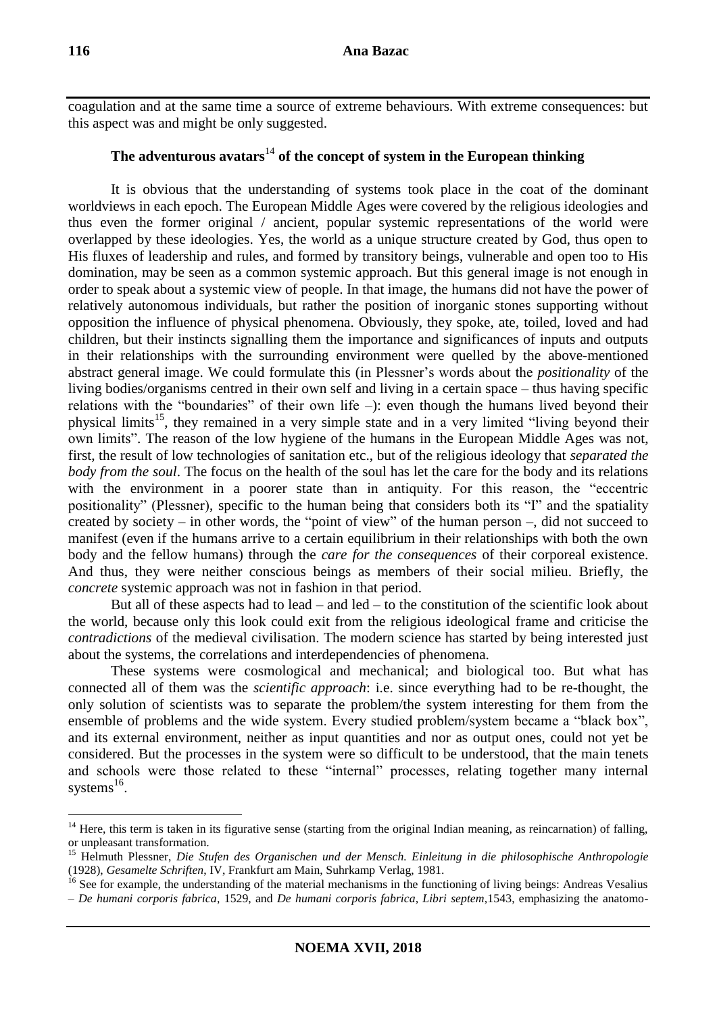coagulation and at the same time a source of extreme behaviours. With extreme consequences: but this aspect was and might be only suggested.

# **The adventurous avatars**<sup>14</sup> **of the concept of system in the European thinking**

It is obvious that the understanding of systems took place in the coat of the dominant worldviews in each epoch. The European Middle Ages were covered by the religious ideologies and thus even the former original / ancient, popular systemic representations of the world were overlapped by these ideologies. Yes, the world as a unique structure created by God, thus open to His fluxes of leadership and rules, and formed by transitory beings, vulnerable and open too to His domination, may be seen as a common systemic approach. But this general image is not enough in order to speak about a systemic view of people. In that image, the humans did not have the power of relatively autonomous individuals, but rather the position of inorganic stones supporting without opposition the influence of physical phenomena. Obviously, they spoke, ate, toiled, loved and had children, but their instincts signalling them the importance and significances of inputs and outputs in their relationships with the surrounding environment were quelled by the above-mentioned abstract general image. We could formulate this (in Plessner's words about the *positionality* of the living bodies/organisms centred in their own self and living in a certain space – thus having specific relations with the "boundaries" of their own life –): even though the humans lived beyond their physical limits<sup>15</sup>, they remained in a very simple state and in a very limited "living beyond their own limits". The reason of the low hygiene of the humans in the European Middle Ages was not, first, the result of low technologies of sanitation etc., but of the religious ideology that *separated the body from the soul*. The focus on the health of the soul has let the care for the body and its relations with the environment in a poorer state than in antiquity. For this reason, the "eccentric positionality" (Plessner), specific to the human being that considers both its "I" and the spatiality created by society – in other words, the "point of view" of the human person –, did not succeed to manifest (even if the humans arrive to a certain equilibrium in their relationships with both the own body and the fellow humans) through the *care for the consequences* of their corporeal existence. And thus, they were neither conscious beings as members of their social milieu. Briefly, the *concrete* systemic approach was not in fashion in that period.

But all of these aspects had to lead – and led – to the constitution of the scientific look about the world, because only this look could exit from the religious ideological frame and criticise the *contradictions* of the medieval civilisation. The modern science has started by being interested just about the systems, the correlations and interdependencies of phenomena.

These systems were cosmological and mechanical; and biological too. But what has connected all of them was the *scientific approach*: i.e. since everything had to be re-thought, the only solution of scientists was to separate the problem/the system interesting for them from the ensemble of problems and the wide system. Every studied problem/system became a "black box", and its external environment, neither as input quantities and nor as output ones, could not yet be considered. But the processes in the system were so difficult to be understood, that the main tenets and schools were those related to these "internal" processes, relating together many internal systems $^{16}$ .

<u>.</u>

 $14$  Here, this term is taken in its figurative sense (starting from the original Indian meaning, as reincarnation) of falling, or unpleasant transformation.

<sup>15</sup> Helmuth Plessner, *Die Stufen des Organischen und der Mensch. Einleitung in die philosophische Anthropologie* (1928), *Gesamelte Schriften*, IV, Frankfurt am Main, Suhrkamp Verlag, 1981.

<sup>&</sup>lt;sup>16</sup> See for example, the understanding of the material mechanisms in the functioning of living beings: Andreas Vesalius – *De humani corporis fabrica*, 1529, and *De humani corporis fabrica, Libri septem*,1543, emphasizing the anatomo-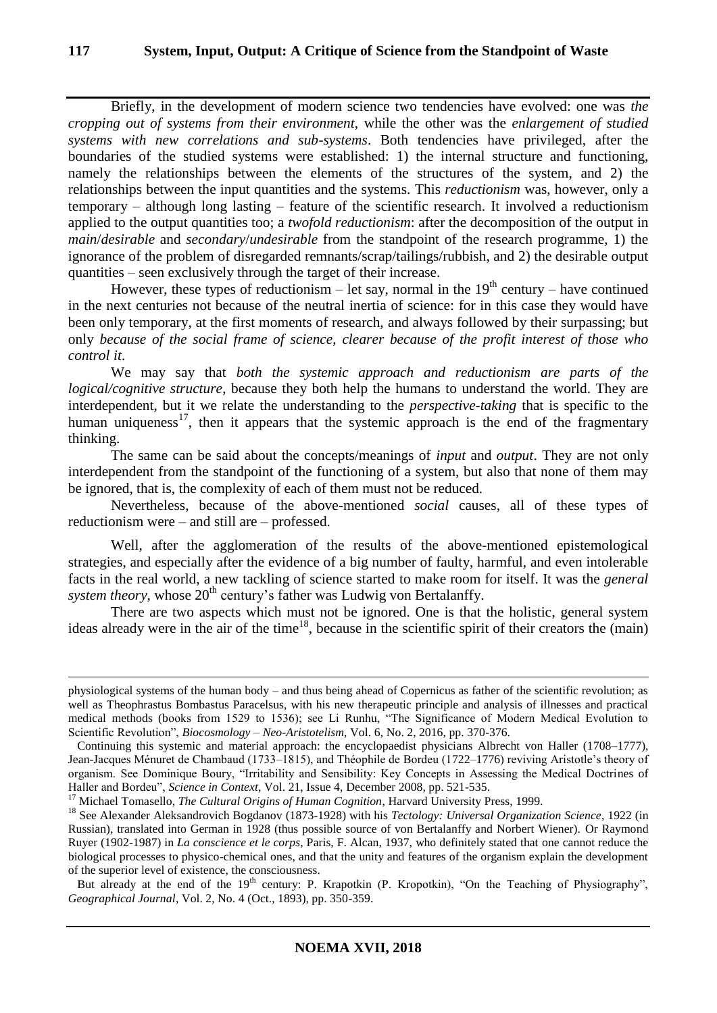Briefly, in the development of modern science two tendencies have evolved: one was *the cropping out of systems from their environment*, while the other was the *enlargement of studied systems with new correlations and sub-systems*. Both tendencies have privileged, after the boundaries of the studied systems were established: 1) the internal structure and functioning, namely the relationships between the elements of the structures of the system, and 2) the relationships between the input quantities and the systems. This *reductionism* was, however, only a temporary – although long lasting – feature of the scientific research. It involved a reductionism applied to the output quantities too; a *twofold reductionism*: after the decomposition of the output in *main*/*desirable* and *secondary*/*undesirable* from the standpoint of the research programme, 1) the ignorance of the problem of disregarded remnants/scrap/tailings/rubbish, and 2) the desirable output quantities – seen exclusively through the target of their increase.

However, these types of reductionism – let say, normal in the  $19<sup>th</sup>$  century – have continued in the next centuries not because of the neutral inertia of science: for in this case they would have been only temporary, at the first moments of research, and always followed by their surpassing; but only *because of the social frame of science, clearer because of the profit interest of those who control it*.

We may say that *both the systemic approach and reductionism are parts of the logical/cognitive structure*, because they both help the humans to understand the world. They are interdependent, but it we relate the understanding to the *perspective-taking* that is specific to the human uniqueness<sup>17</sup>, then it appears that the systemic approach is the end of the fragmentary thinking.

The same can be said about the concepts/meanings of *input* and *output*. They are not only interdependent from the standpoint of the functioning of a system, but also that none of them may be ignored, that is, the complexity of each of them must not be reduced.

Nevertheless, because of the above-mentioned *social* causes, all of these types of reductionism were – and still are – professed.

Well, after the agglomeration of the results of the above-mentioned epistemological strategies, and especially after the evidence of a big number of faulty, harmful, and even intolerable facts in the real world, a new tackling of science started to make room for itself. It was the *general system theory*, whose  $20<sup>th</sup>$  century's father was Ludwig von Bertalanffy.

There are two aspects which must not be ignored. One is that the holistic, general system ideas already were in the air of the time<sup>18</sup>, because in the scientific spirit of their creators the (main)

<sup>17</sup> Michael Tomasello, *The Cultural Origins of Human Cognition*, Harvard University Press, 1999.

physiological systems of the human body – and thus being ahead of Copernicus as father of the scientific revolution; as well as Theophrastus Bombastus Paracelsus, with his new therapeutic principle and analysis of illnesses and practical medical methods (books from 1529 to 1536); see Li Runhu, "The Significance of Modern Medical Evolution to Scientific Revolution", *Biocosmology – Neo-Aristotelism*, Vol. 6, No. 2, 2016, pp. 370-376.

Continuing this systemic and material approach: the encyclopaedist physicians Albrecht von Haller (1708–1777), Jean-Jacques Ménuret de Chambaud (1733–1815), and Théophile de Bordeu (1722–1776) reviving Aristotle's theory of organism. See Dominique Boury, "Irritability and Sensibility: Key Concepts in Assessing the Medical Doctrines of Haller and Bordeu", *Science in Context*, Vol. 21, Issue 4, December 2008, pp. 521-535.

<sup>18</sup> See Alexander Aleksandrovich Bogdanov (1873-1928) with his *Tectology: Universal Organization Science*, 1922 (in Russian), translated into German in 1928 (thus possible source of von Bertalanffy and Norbert Wiener). Or Raymond Ruyer (1902-1987) in *La conscience et le corps*, Paris, F. Alcan, 1937, who definitely stated that one cannot reduce the biological processes to physico-chemical ones, and that the unity and features of the organism explain the development of the superior level of existence, the consciousness.

But already at the end of the 19<sup>th</sup> century: P. Krapotkin (P. Kropotkin), "On the Teaching of Physiography", *Geographical Journal*, Vol. 2, No. 4 (Oct., 1893), pp. 350-359.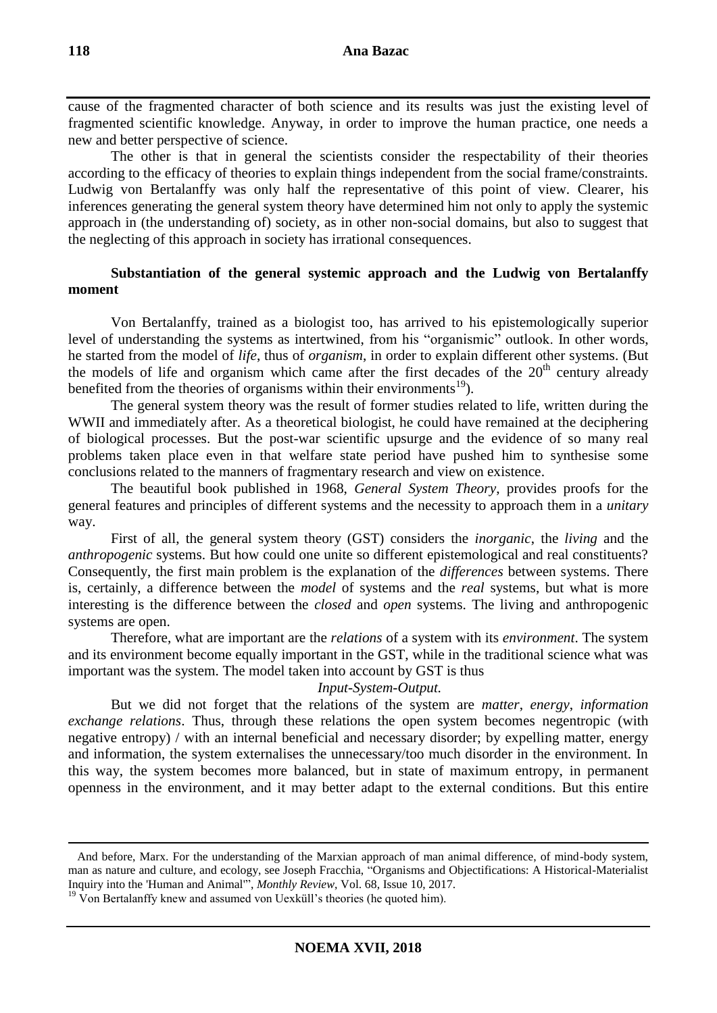cause of the fragmented character of both science and its results was just the existing level of fragmented scientific knowledge. Anyway, in order to improve the human practice, one needs a new and better perspective of science.

The other is that in general the scientists consider the respectability of their theories according to the efficacy of theories to explain things independent from the social frame/constraints. Ludwig von Bertalanffy was only half the representative of this point of view. Clearer, his inferences generating the general system theory have determined him not only to apply the systemic approach in (the understanding of) society, as in other non-social domains, but also to suggest that the neglecting of this approach in society has irrational consequences.

## **Substantiation of the general systemic approach and the Ludwig von Bertalanffy moment**

Von Bertalanffy, trained as a biologist too, has arrived to his epistemologically superior level of understanding the systems as intertwined, from his "organismic" outlook. In other words, he started from the model of *life*, thus of *organism*, in order to explain different other systems. (But the models of life and organism which came after the first decades of the  $20<sup>th</sup>$  century already benefited from the theories of organisms within their environments<sup>19</sup>).

The general system theory was the result of former studies related to life, written during the WWII and immediately after. As a theoretical biologist, he could have remained at the deciphering of biological processes. But the post-war scientific upsurge and the evidence of so many real problems taken place even in that welfare state period have pushed him to synthesise some conclusions related to the manners of fragmentary research and view on existence.

The beautiful book published in 1968, *General System Theory*, provides proofs for the general features and principles of different systems and the necessity to approach them in a *unitary*  way.

First of all, the general system theory (GST) considers the *inorganic*, the *living* and the *anthropogenic* systems. But how could one unite so different epistemological and real constituents? Consequently, the first main problem is the explanation of the *differences* between systems. There is, certainly, a difference between the *model* of systems and the *real* systems, but what is more interesting is the difference between the *closed* and *open* systems. The living and anthropogenic systems are open.

Therefore, what are important are the *relations* of a system with its *environment*. The system and its environment become equally important in the GST, while in the traditional science what was important was the system. The model taken into account by GST is thus

### *Input-System-Output.*

But we did not forget that the relations of the system are *matter*, *energy*, *information exchange relations*. Thus, through these relations the open system becomes negentropic (with negative entropy) / with an internal beneficial and necessary disorder; by expelling matter, energy and information, the system externalises the unnecessary/too much disorder in the environment. In this way, the system becomes more balanced, but in state of maximum entropy, in permanent openness in the environment, and it may better adapt to the external conditions. But this entire

 $19$  Von Bertalanffy knew and assumed von Uexküll's theories (he quoted him).

And before, Marx. For the understanding of the Marxian approach of man animal difference, of mind-body system, man as nature and culture, and ecology, see Joseph Fracchia, "Organisms and Objectifications: A Historical-Materialist Inquiry into the 'Human and Animal'", *Monthly Review*, Vol. 68, Issue 10, 2017.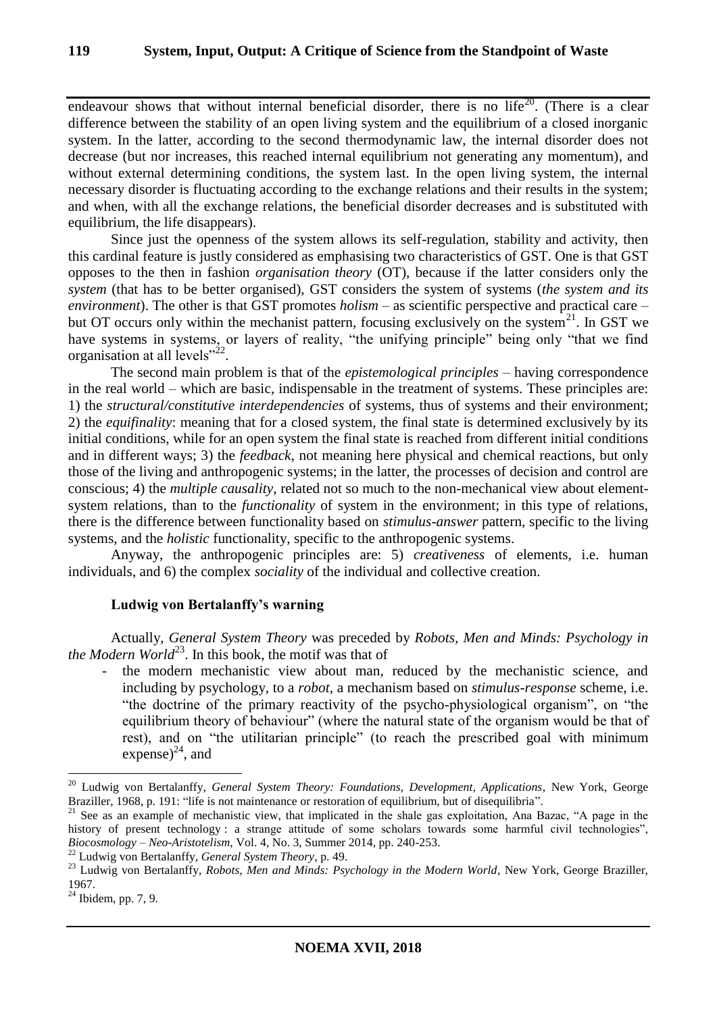endeavour shows that without internal beneficial disorder, there is no life<sup>20</sup>. (There is a clear difference between the stability of an open living system and the equilibrium of a closed inorganic system. In the latter, according to the second thermodynamic law, the internal disorder does not decrease (but nor increases, this reached internal equilibrium not generating any momentum), and without external determining conditions, the system last. In the open living system, the internal necessary disorder is fluctuating according to the exchange relations and their results in the system; and when, with all the exchange relations, the beneficial disorder decreases and is substituted with equilibrium, the life disappears).

Since just the openness of the system allows its self-regulation, stability and activity, then this cardinal feature is justly considered as emphasising two characteristics of GST. One is that GST opposes to the then in fashion *organisation theory* (OT), because if the latter considers only the *system* (that has to be better organised), GST considers the system of systems (*the system and its environment*). The other is that GST promotes *holism* – as scientific perspective and practical care – but OT occurs only within the mechanist pattern, focusing exclusively on the system<sup>21</sup>. In GST we have systems in systems, or layers of reality, "the unifying principle" being only "that we find organisation at all levels"<sup>22</sup>.

The second main problem is that of the *epistemological principles* – having correspondence in the real world – which are basic, indispensable in the treatment of systems. These principles are: 1) the *structural/constitutive interdependencies* of systems, thus of systems and their environment; 2) the *equifinality*: meaning that for a closed system, the final state is determined exclusively by its initial conditions, while for an open system the final state is reached from different initial conditions and in different ways; 3) the *feedback*, not meaning here physical and chemical reactions, but only those of the living and anthropogenic systems; in the latter, the processes of decision and control are conscious; 4) the *multiple causality*, related not so much to the non-mechanical view about elementsystem relations, than to the *functionality* of system in the environment; in this type of relations, there is the difference between functionality based on *stimulus-answer* pattern, specific to the living systems, and the *holistic* functionality, specific to the anthropogenic systems.

Anyway, the anthropogenic principles are: 5) *creativeness* of elements, i.e. human individuals, and 6) the complex *sociality* of the individual and collective creation.

### **Ludwig von Bertalanffy's warning**

Actually, *General System Theory* was preceded by *Robots, Men and Minds: Psychology in the Modern World*<sup>23</sup>. In this book, the motif was that of

the modern mechanistic view about man, reduced by the mechanistic science, and including by psychology, to a *robot*, a mechanism based on *stimulus-response* scheme, i.e. "the doctrine of the primary reactivity of the psycho-physiological organism", on "the equilibrium theory of behaviour" (where the natural state of the organism would be that of rest), and on "the utilitarian principle" (to reach the prescribed goal with minimum expense) $^{24}$ , and

<u>.</u>

<sup>20</sup> Ludwig von Bertalanffy, *General System Theory: Foundations, Development, Applications*, New York, George Braziller, 1968, p. 191: "life is not maintenance or restoration of equilibrium, but of disequilibria".

<sup>&</sup>lt;sup>21</sup> See as an example of mechanistic view, that implicated in the shale gas exploitation, Ana Bazac, "A page in the history of present technology : a strange attitude of some scholars towards some harmful civil technologies", *Biocosmology – Neo-Aristotelism*, Vol. 4, No. 3, Summer 2014, pp. 240-253.

<sup>22</sup> Ludwig von Bertalanffy, *General System Theory*, p. 49.

<sup>&</sup>lt;sup>23</sup> Ludwig von Bertalanffy, *Robots, Men and Minds: Psychology in the Modern World*, New York, George Braziller, 1967.

 $^{24}$  Ibidem, pp. 7, 9.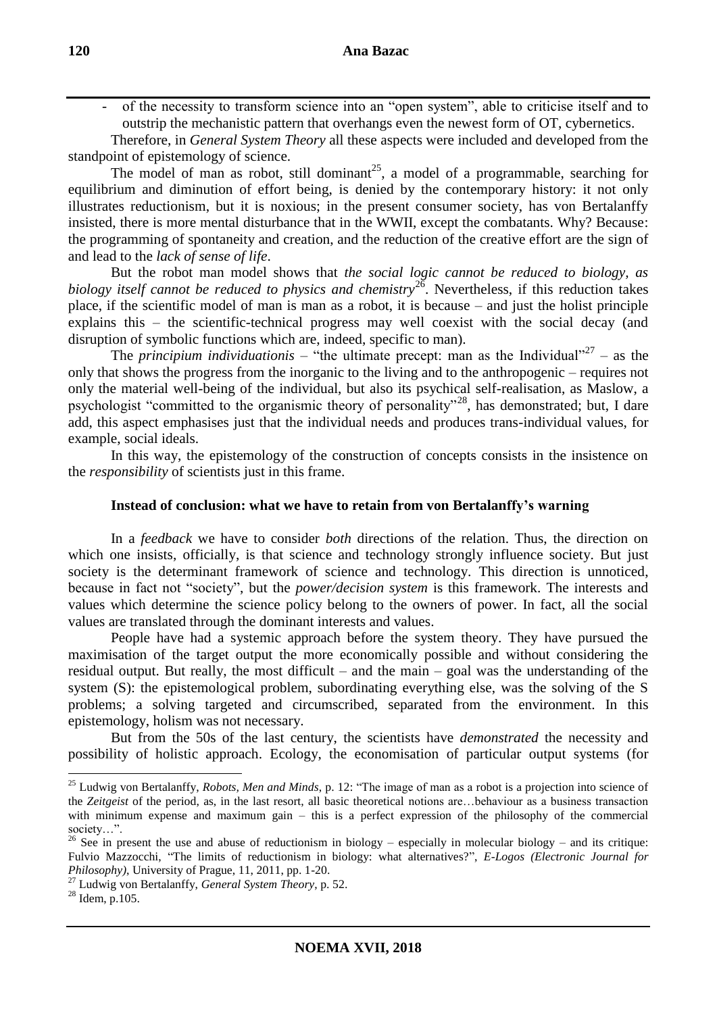of the necessity to transform science into an "open system", able to criticise itself and to outstrip the mechanistic pattern that overhangs even the newest form of OT, cybernetics.

Therefore, in *General System Theory* all these aspects were included and developed from the standpoint of epistemology of science.

The model of man as robot, still dominant<sup>25</sup>, a model of a programmable, searching for equilibrium and diminution of effort being, is denied by the contemporary history: it not only illustrates reductionism, but it is noxious; in the present consumer society, has von Bertalanffy insisted, there is more mental disturbance that in the WWII, except the combatants. Why? Because: the programming of spontaneity and creation, and the reduction of the creative effort are the sign of and lead to the *lack of sense of life*.

But the robot man model shows that *the social logic cannot be reduced to biology, as biology itself cannot be reduced to physics and chemistry*<sup>26</sup>. Nevertheless, if this reduction takes place, if the scientific model of man is man as a robot, it is because – and just the holist principle explains this – the scientific-technical progress may well coexist with the social decay (and disruption of symbolic functions which are, indeed, specific to man).

The *principium individuationis* – "the ultimate precept: man as the Individual"<sup>27</sup> – as the only that shows the progress from the inorganic to the living and to the anthropogenic – requires not only the material well-being of the individual, but also its psychical self-realisation, as Maslow, a psychologist "committed to the organismic theory of personality"<sup>28</sup>, has demonstrated; but, I dare add, this aspect emphasises just that the individual needs and produces trans-individual values, for example, social ideals.

In this way, the epistemology of the construction of concepts consists in the insistence on the *responsibility* of scientists just in this frame.

### **Instead of conclusion: what we have to retain from von Bertalanffy's warning**

In a *feedback* we have to consider *both* directions of the relation. Thus, the direction on which one insists, officially, is that science and technology strongly influence society. But just society is the determinant framework of science and technology. This direction is unnoticed, because in fact not "society", but the *power/decision system* is this framework. The interests and values which determine the science policy belong to the owners of power. In fact, all the social values are translated through the dominant interests and values.

People have had a systemic approach before the system theory. They have pursued the maximisation of the target output the more economically possible and without considering the residual output. But really, the most difficult – and the main – goal was the understanding of the system (S): the epistemological problem, subordinating everything else, was the solving of the S problems; a solving targeted and circumscribed, separated from the environment. In this epistemology, holism was not necessary.

But from the 50s of the last century, the scientists have *demonstrated* the necessity and possibility of holistic approach. Ecology, the economisation of particular output systems (for

<u>.</u>

<sup>&</sup>lt;sup>25</sup> Ludwig von Bertalanffy, *Robots, Men and Minds*, p. 12: "The image of man as a robot is a projection into science of the *Zeitgeist* of the period, as, in the last resort, all basic theoretical notions are…behaviour as a business transaction with minimum expense and maximum gain – this is a perfect expression of the philosophy of the commercial society…".

<sup>&</sup>lt;sup>26</sup> See in present the use and abuse of reductionism in biology – especially in molecular biology – and its critique: Fulvio Mazzocchi, "The limits of reductionism in biology: what alternatives?", *E-Logos (Electronic Journal for Philosophy)*, University of Prague, 11, 2011, pp. 1-20.

<sup>27</sup> Ludwig von Bertalanffy, *General System Theory*, p. 52.

 $28$  Idem, p. 105.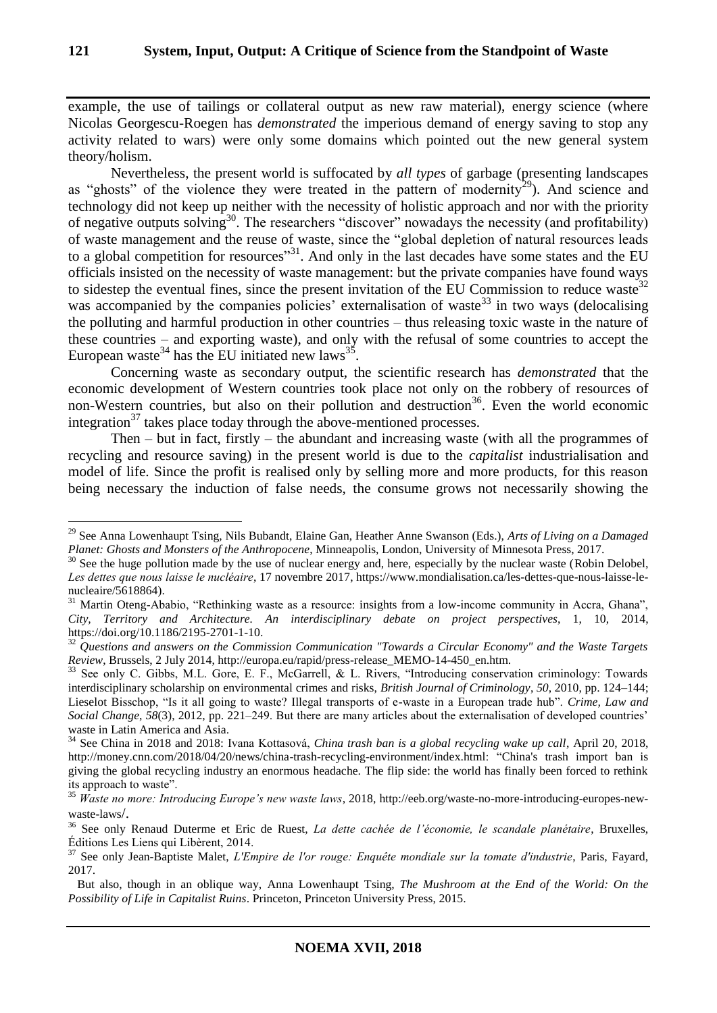example, the use of tailings or collateral output as new raw material), energy science (where Nicolas Georgescu-Roegen has *demonstrated* the imperious demand of energy saving to stop any activity related to wars) were only some domains which pointed out the new general system theory/holism.

Nevertheless, the present world is suffocated by *all types* of garbage (presenting landscapes as "ghosts" of the violence they were treated in the pattern of modernity<sup>29</sup>). And science and technology did not keep up neither with the necessity of holistic approach and nor with the priority of negative outputs solving<sup>30</sup>. The researchers "discover" nowadays the necessity (and profitability) of waste management and the reuse of waste, since the "global depletion of natural resources leads to a global competition for resources"<sup>31</sup>. And only in the last decades have some states and the EU officials insisted on the necessity of waste management: but the private companies have found ways to sidestep the eventual fines, since the present invitation of the EU Commission to reduce waste<sup>32</sup> was accompanied by the companies policies' externalisation of waste<sup>33</sup> in two ways (delocalising the polluting and harmful production in other countries – thus releasing toxic waste in the nature of these countries – and exporting waste), and only with the refusal of some countries to accept the European waste<sup>34</sup> has the EU initiated new laws<sup>35</sup>.

Concerning waste as secondary output, the scientific research has *demonstrated* that the economic development of Western countries took place not only on the robbery of resources of non-Western countries, but also on their pollution and destruction<sup>36</sup>. Even the world economic integration<sup>37</sup> takes place today through the above-mentioned processes.

Then – but in fact, firstly – the abundant and increasing waste (with all the programmes of recycling and resource saving) in the present world is due to the *capitalist* industrialisation and model of life. Since the profit is realised only by selling more and more products, for this reason being necessary the induction of false needs, the consume grows not necessarily showing the

<sup>29</sup> See Anna Lowenhaupt Tsing, Nils Bubandt, Elaine Gan, Heather Anne Swanson (Eds.), *Arts of Living on a Damaged Planet: Ghosts and Monsters of the Anthropocene*, Minneapolis, London, University of Minnesota Press, 2017.

 $30$  See the huge pollution made by the use of nuclear energy and, here, especially by the nuclear waste (Robin Delobel, *Les dettes que nous laisse le nucléaire*, 17 novembre 2017, https://www.mondialisation.ca/les-dettes-que-nous-laisse-lenucleaire/5618864).

 $31$  Martin Oteng-Ababio, "Rethinking waste as a resource: insights from a low-income community in Accra, Ghana", *City, Territory and Architecture. An interdisciplinary debate on project perspectives*, 1, 10, 2014, https://doi.org/10.1186/2195-2701-1-10.

<sup>&</sup>lt;sup>32</sup> Questions and answers on the Commission Communication "Towards a Circular Economy" and the Waste Targets *Review*, Brussels, 2 July 2014, http://europa.eu/rapid/press-release\_MEMO-14-450\_en.htm.

<sup>&</sup>lt;sup>33</sup> See only C. Gibbs, M.L. Gore, E. F., McGarrell, & L. Rivers, "Introducing conservation criminology: Towards interdisciplinary scholarship on environmental crimes and risks, *British Journal of Criminology*, *50*, 2010, pp. 124–144; Lieselot Bisschop, "Is it all going to waste? Illegal transports of e-waste in a European trade hub". *Crime, Law and Social Change*, *58*(3), 2012, pp. 221–249. But there are many articles about the externalisation of developed countries' waste in Latin America and Asia.

<sup>34</sup> See China in 2018 and 2018: Ivana Kottasová, *China trash ban is a global recycling wake up call*, April 20, 2018, http://money.cnn.com/2018/04/20/news/china-trash-recycling-environment/index.html: "China's trash import ban is giving the global recycling industry an enormous headache. The flip side: the world has finally been forced to rethink its approach to waste".

<sup>35</sup> *Waste no more: Introducing Europe's new waste laws*, 2018, http://eeb.org/waste-no-more-introducing-europes-newwaste-laws/.

<sup>36</sup> See only Renaud Duterme et Eric de Ruest, *La dette cachée de l'économie, le scandale planétaire*, Bruxelles, Éditions Les Liens qui Libèrent, 2014.

<sup>37</sup> See only Jean-Baptiste Malet, *L'Empire de l'or rouge: Enquête mondiale sur la tomate d'industrie*, Paris, Fayard, 2017.

But also, though in an oblique way, Anna Lowenhaupt Tsing, *The Mushroom at the End of the World: On the Possibility of Life in Capitalist Ruins*. Princeton, Princeton University Press, 2015.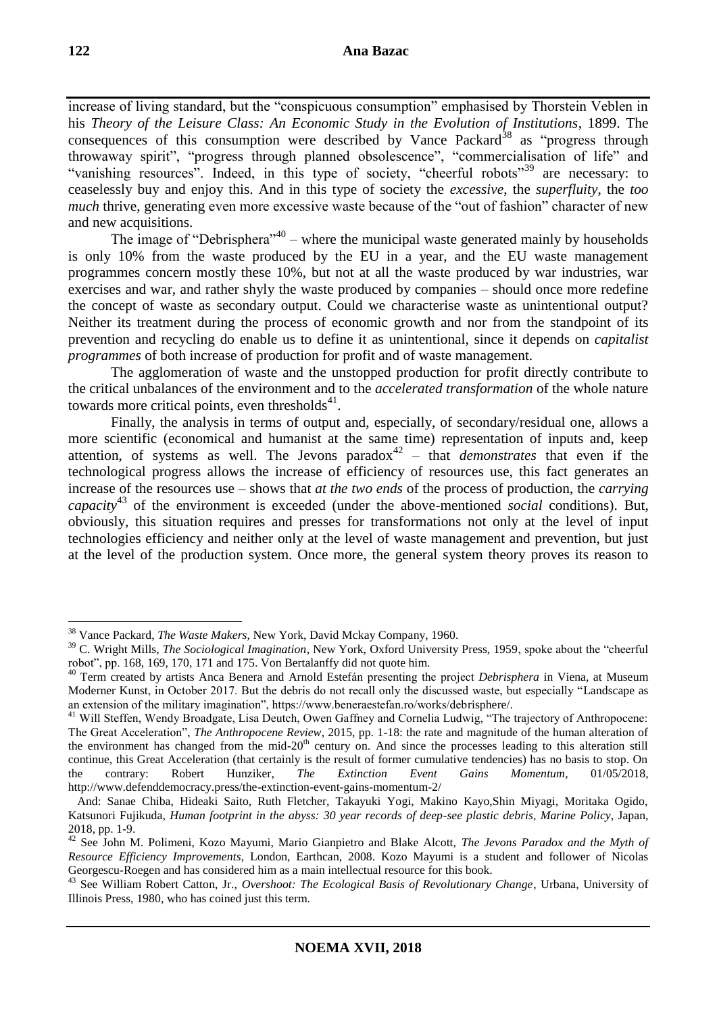increase of living standard, but the "conspicuous consumption" emphasised by Thorstein Veblen in his *Theory of the Leisure Class: An Economic Study in the Evolution of Institutions*, 1899. The consequences of this consumption were described by Vance Packard<sup>38</sup> as "progress through throwaway spirit", "progress through planned obsolescence", "commercialisation of life" and "vanishing resources". Indeed, in this type of society, "cheerful robots"<sup>39</sup> are necessary: to ceaselessly buy and enjoy this. And in this type of society the *excessive*, the *superfluity*, the *too much* thrive, generating even more excessive waste because of the "out of fashion" character of new and new acquisitions.

The image of "Debrisphera"<sup>40</sup> – where the municipal waste generated mainly by households is only 10% from the waste produced by the EU in a year, and the EU waste management programmes concern mostly these 10%, but not at all the waste produced by war industries, war exercises and war, and rather shyly the waste produced by companies – should once more redefine the concept of waste as secondary output. Could we characterise waste as unintentional output? Neither its treatment during the process of economic growth and nor from the standpoint of its prevention and recycling do enable us to define it as unintentional, since it depends on *capitalist programmes* of both increase of production for profit and of waste management.

The agglomeration of waste and the unstopped production for profit directly contribute to the critical unbalances of the environment and to the *accelerated transformation* of the whole nature towards more critical points, even thresholds $^{41}$ .

Finally, the analysis in terms of output and, especially, of secondary/residual one, allows a more scientific (economical and humanist at the same time) representation of inputs and, keep attention, of systems as well. The Jevons paradox<sup>42</sup> – that *demonstrates* that even if the technological progress allows the increase of efficiency of resources use, this fact generates an increase of the resources use – shows that *at the two ends* of the process of production, the *carrying capacity*<sup>43</sup> of the environment is exceeded (under the above-mentioned *social* conditions). But, obviously, this situation requires and presses for transformations not only at the level of input technologies efficiency and neither only at the level of waste management and prevention, but just at the level of the production system. Once more, the general system theory proves its reason to

<sup>38</sup> Vance Packard*, The Waste Makers*, New York, David Mckay Company, 1960.

<sup>39</sup> C. Wright Mills, *The Sociological Imagination*, New York, Oxford University Press, 1959, spoke about the "cheerful robot", pp. 168, 169, 170, 171 and 175. Von Bertalanffy did not quote him.

<sup>40</sup> Term created by artists Anca Benera and Arnold Estefán presenting the project *Debrisphera* in Viena, at Museum Moderner Kunst, in October 2017. But the debris do not recall only the discussed waste, but especially "Landscape as an extension of the military imagination", https://www.beneraestefan.ro/works/debrisphere/.

<sup>&</sup>lt;sup>41</sup> Will Steffen, Wendy Broadgate, Lisa Deutch, Owen Gaffney and Cornelia Ludwig, "The trajectory of Anthropocene: The Great Acceleration", *The Anthropocene Review*, 2015, pp. 1-18: the rate and magnitude of the human alteration of the environment has changed from the mid- $20<sup>th</sup>$  century on. And since the processes leading to this alteration still continue, this Great Acceleration (that certainly is the result of former cumulative tendencies) has no basis to stop. On the contrary: Robert Hunziker, *The Extinction Event Gains Momentum*, 01/05/2018, http://www.defenddemocracy.press/the-extinction-event-gains-momentum-2/

And: Sanae Chiba, Hideaki Saito, Ruth Fletcher, Takayuki Yogi, Makino Kayo,Shin Miyagi, Moritaka Ogido, Katsunori Fujikuda, *Human footprint in the abyss: 30 year records of deep-see plastic debris*, *Marine Policy*, Japan, 2018, pp. 1-9.

<sup>42</sup> See John M. Polimeni, Kozo Mayumi, Mario Gianpietro and Blake Alcott, *The Jevons Paradox and the Myth of Resource Efficiency Improvements*, London, Earthcan, 2008. Kozo Mayumi is a student and follower of Nicolas Georgescu-Roegen and has considered him as a main intellectual resource for this book.

<sup>43</sup> See William Robert Catton, Jr., *Overshoot: The Ecological Basis of Revolutionary Change*, Urbana, University of Illinois Press, 1980, who has coined just this term.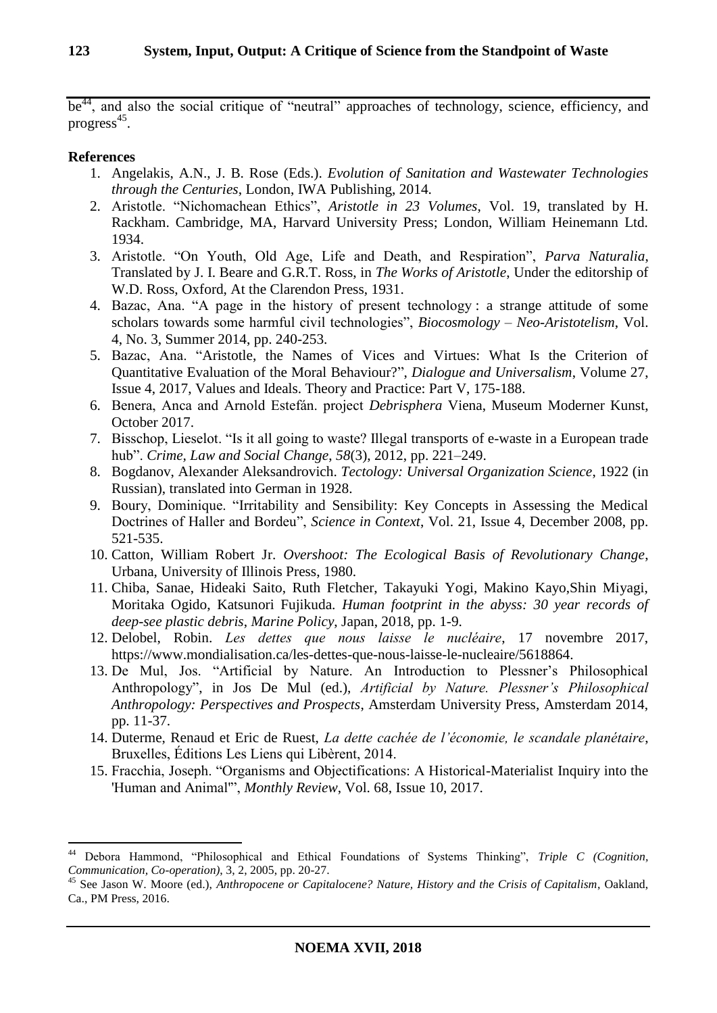be<sup>44</sup>, and also the social critique of "neutral" approaches of technology, science, efficiency, and  $progress<sup>45</sup>$ .

### **References**

- 1. Angelakis, A.N., J. B. Rose (Eds.). *Evolution of Sanitation and Wastewater Technologies through the Centuries*, London, IWA Publishing, 2014.
- 2. Aristotle. "Nichomachean Ethics", *Aristotle in 23 Volumes*, Vol. 19, translated by H. Rackham. Cambridge, MA, Harvard University Press; London, William Heinemann Ltd. 1934.
- 3. Aristotle. "On Youth, Old Age, Life and Death, and Respiration", *Parva Naturalia*, Translated by J. I. Beare and G.R.T. Ross, in *The Works of Aristotle*, Under the editorship of W.D. Ross, Oxford, At the Clarendon Press, 1931.
- 4. Bazac, Ana. "A page in the history of present technology : a strange attitude of some scholars towards some harmful civil technologies", *Biocosmology – Neo-Aristotelism*, Vol. 4, No. 3, Summer 2014, pp. 240-253.
- 5. Bazac, Ana. "Aristotle, the Names of Vices and Virtues: What Is the Criterion of Quantitative Evaluation of the Moral Behaviour?", *Dialogue and Universalism*, Volume 27, Issue 4, 2017, Values and Ideals. Theory and Practice: Part V, 175-188.
- 6. Benera, Anca and Arnold Estefán. project *Debrisphera* Viena, Museum Moderner Kunst, October 2017.
- 7. Bisschop, Lieselot. "Is it all going to waste? Illegal transports of e-waste in a European trade hub". *Crime, Law and Social Change*, *58*(3), 2012, pp. 221–249.
- 8. Bogdanov, Alexander Aleksandrovich. *Tectology: Universal Organization Science*, 1922 (in Russian), translated into German in 1928.
- 9. Boury, Dominique. "Irritability and Sensibility: Key Concepts in Assessing the Medical Doctrines of Haller and Bordeu", *Science in Context*, Vol. 21, Issue 4, December 2008, pp. 521-535.
- 10. Catton, William Robert Jr. *Overshoot: The Ecological Basis of Revolutionary Change*, Urbana, University of Illinois Press, 1980.
- 11. Chiba, Sanae, Hideaki Saito, Ruth Fletcher, Takayuki Yogi, Makino Kayo,Shin Miyagi, Moritaka Ogido, Katsunori Fujikuda. *Human footprint in the abyss: 30 year records of deep-see plastic debris*, *Marine Policy*, Japan, 2018, pp. 1-9.
- 12. Delobel, Robin. *Les dettes que nous laisse le nucléaire*, 17 novembre 2017, https://www.mondialisation.ca/les-dettes-que-nous-laisse-le-nucleaire/5618864.
- 13. De Mul, Jos. "Artificial by Nature. An Introduction to Plessner's Philosophical Anthropology", in Jos De Mul (ed.), *Artificial by Nature. Plessner's Philosophical Anthropology: Perspectives and Prospects*, Amsterdam University Press, Amsterdam 2014, pp. 11-37.
- 14. Duterme, Renaud et Eric de Ruest, *La dette cachée de l'économie, le scandale planétaire*, Bruxelles, Éditions Les Liens qui Libèrent, 2014.
- 15. Fracchia, Joseph. "Organisms and Objectifications: A Historical-Materialist Inquiry into the 'Human and Animal'", *Monthly Review*, Vol. 68, Issue 10, 2017.

<sup>44</sup> Debora Hammond, "Philosophical and Ethical Foundations of Systems Thinking", *Triple C (Cognition, Communication, Co-operation)*, 3, 2, 2005, pp. 20-27.

<sup>45</sup> See Jason W. Moore (ed.), *Anthropocene or Capitalocene? Nature, History and the Crisis of Capitalism*, Oakland, Ca., PM Press, 2016.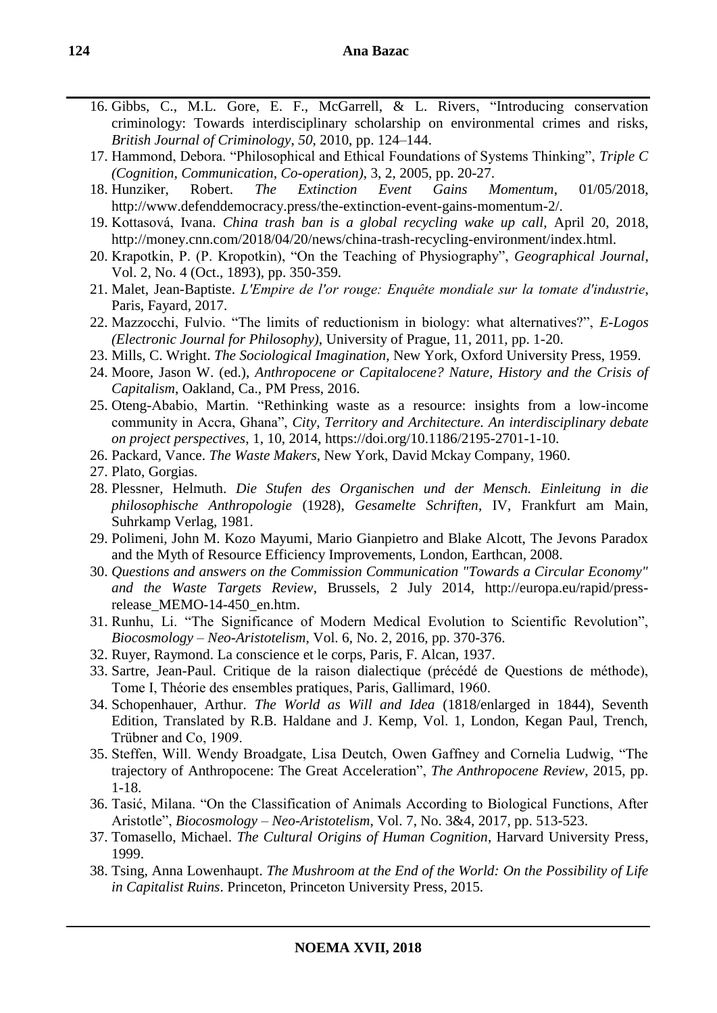- 16. Gibbs, C., M.L. Gore, E. F., McGarrell, & L. Rivers, "Introducing conservation criminology: Towards interdisciplinary scholarship on environmental crimes and risks, *British Journal of Criminology*, *50*, 2010, pp. 124–144.
- 17. Hammond, Debora. "Philosophical and Ethical Foundations of Systems Thinking", *Triple C (Cognition, Communication, Co-operation)*, 3, 2, 2005, pp. 20-27.
- 18. Hunziker, Robert. *The Extinction Event Gains Momentum*, 01/05/2018, http://www.defenddemocracy.press/the-extinction-event-gains-momentum-2/.
- 19. Kottasová, Ivana. *China trash ban is a global recycling wake up call*, April 20, 2018, http://money.cnn.com/2018/04/20/news/china-trash-recycling-environment/index.html.
- 20. Krapotkin, P. (P. Kropotkin), "On the Teaching of Physiography", *Geographical Journal*, Vol. 2, No. 4 (Oct., 1893), pp. 350-359.
- 21. Malet, Jean-Baptiste. *L'Empire de l'or rouge: Enquête mondiale sur la tomate d'industrie*, Paris, Fayard, 2017.
- 22. Mazzocchi, Fulvio. "The limits of reductionism in biology: what alternatives?", *E-Logos (Electronic Journal for Philosophy)*, University of Prague, 11, 2011, pp. 1-20.
- 23. Mills, C. Wright. *The Sociological Imagination*, New York, Oxford University Press, 1959.
- 24. Moore, Jason W. (ed.), *Anthropocene or Capitalocene? Nature, History and the Crisis of Capitalism*, Oakland, Ca., PM Press, 2016.
- 25. Oteng-Ababio, Martin. "Rethinking waste as a resource: insights from a low-income community in Accra, Ghana", *City, Territory and Architecture. An interdisciplinary debate on project perspectives*, 1, 10, 2014, https://doi.org/10.1186/2195-2701-1-10.
- 26. Packard*,* Vance. *The Waste Makers*, New York, David Mckay Company, 1960.
- 27. Plato, Gorgias.
- 28. Plessner, Helmuth. *Die Stufen des Organischen und der Mensch. Einleitung in die philosophische Anthropologie* (1928), *Gesamelte Schriften*, IV, Frankfurt am Main, Suhrkamp Verlag, 1981.
- 29. Polimeni, John M. Kozo Mayumi, Mario Gianpietro and Blake Alcott, The Jevons Paradox and the Myth of Resource Efficiency Improvements, London, Earthcan, 2008.
- 30. *Questions and answers on the Commission Communication "Towards a Circular Economy" and the Waste Targets Review*, Brussels, 2 July 2014, http://europa.eu/rapid/pressrelease\_MEMO-14-450\_en.htm.
- 31. Runhu, Li. "The Significance of Modern Medical Evolution to Scientific Revolution", *Biocosmology – Neo-Aristotelism*, Vol. 6, No. 2, 2016, pp. 370-376.
- 32. Ruyer, Raymond. La conscience et le corps, Paris, F. Alcan, 1937.
- 33. Sartre, Jean-Paul. Critique de la raison dialectique (précédé de Questions de méthode), Tome I, Théorie des ensembles pratiques, Paris, Gallimard, 1960.
- 34. Schopenhauer, Arthur. *The World as Will and Idea* (1818/enlarged in 1844), Seventh Edition, Translated by R.B. Haldane and J. Kemp, Vol. 1, London, Kegan Paul, Trench, Trübner and Co, 1909.
- 35. Steffen, Will. Wendy Broadgate, Lisa Deutch, Owen Gaffney and Cornelia Ludwig, "The trajectory of Anthropocene: The Great Acceleration", *The Anthropocene Review*, 2015, pp. 1-18.
- 36. Tasić, Milana. "On the Classification of Animals According to Biological Functions, After Aristotle", *Biocosmology – Neo-Aristotelism*, Vol. 7, No. 3&4, 2017, pp. 513-523.
- 37. Tomasello, Michael. *The Cultural Origins of Human Cognition*, Harvard University Press, 1999.
- 38. Tsing, Anna Lowenhaupt. *The Mushroom at the End of the World: On the Possibility of Life in Capitalist Ruins*. Princeton, Princeton University Press, 2015.